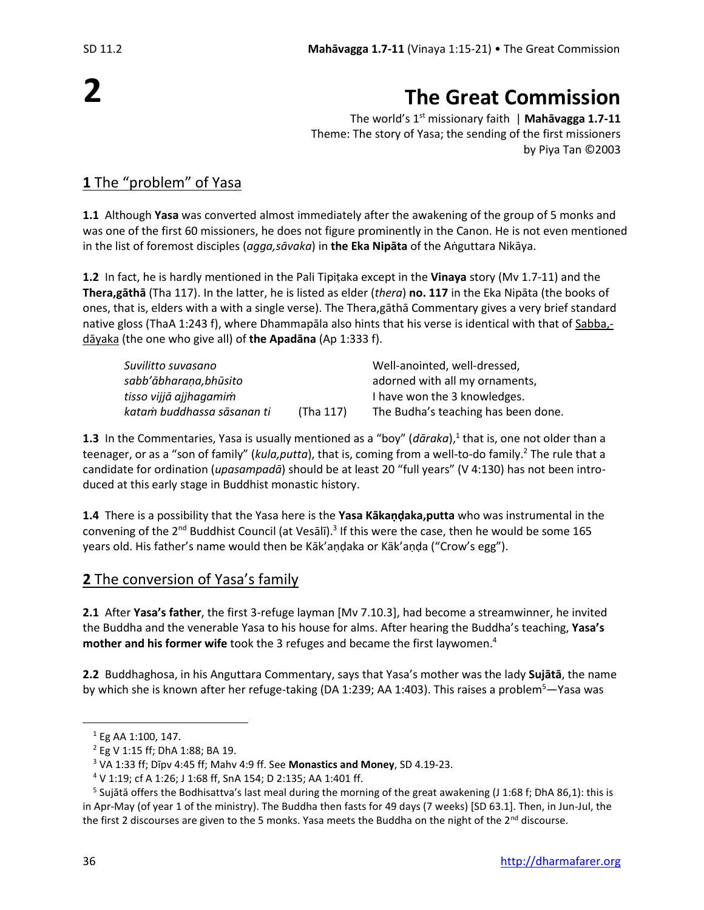# **The Great Commission**

The world's 1 st missionary faith | **Mahāvagga 1.7-11** Theme: The story of Yasa; the sending of the first missioners by Piya Tan ©2003

## **1** The "problem" of Yasa

**1.1** Although **Yasa** was converted almost immediately after the awakening of the group of 5 monks and was one of the first 60 missioners, he does not figure prominently in the Canon. He is not even mentioned in the list of foremost disciples (*agga,sāvaka*) in **the Eka Nipāta** of the Aṅguttara Nikāya.

**1.2** In fact, he is hardly mentioned in the Pali Tipiṭaka except in the **Vinaya** story (Mv 1.7-11) and the **Thera,gāthā** (Tha 117). In the latter, he is listed as elder (*thera*) **no. 117** in the Eka Nipāta (the books of ones, that is, elders with a with a single verse). The Thera,gāthā Commentary gives a very brief standard native gloss (ThaA 1:243 f), where Dhammapāla also hints that his verse is identical with that of Sabba, dāyaka (the one who give all) of **the Apadāna** (Ap 1:333 f).

| Suvilitto suvasano         |           | Well-anointed, well-dressed,        |
|----------------------------|-----------|-------------------------------------|
| sabb'ābharaṇa,bhūsito      |           | adorned with all my ornaments,      |
| tisso vijjā ajjhagamim     |           | I have won the 3 knowledges.        |
| katam buddhassa sāsanan ti | (Tha 117) | The Budha's teaching has been done. |

**1.3** In the Commentaries, Yasa is usually mentioned as a "boy" (*dāraka*),<sup>1</sup> that is, one not older than a teenager, or as a "son of family" (*kula,putta*), that is, coming from a well-to-do family. <sup>2</sup> The rule that a candidate for ordination (*upasampadā*) should be at least 20 "full years" (V 4:130) has not been introduced at this early stage in Buddhist monastic history.

**1.4** There is a possibility that the Yasa here is the **Yasa Kākaṇḍaka,putta** who was instrumental in the convening of the 2<sup>nd</sup> Buddhist Council (at Vesālī).<sup>3</sup> If this were the case, then he would be some 165 years old. His father's name would then be Kāk'aṇḍaka or Kāk'aṇḍa ("Crow's egg").

## **2** The conversion of Yasa's family

**2.1** After **Yasa's father**, the first 3-refuge layman [Mv 7.10.3], had become a streamwinner, he invited the Buddha and the venerable Yasa to his house for alms. After hearing the Buddha's teaching, **Yasa's mother and his former wife** took the 3 refuges and became the first laywomen. 4

**2.2** Buddhaghosa, in his Anguttara Commentary, says that Yasa's mother was the lady **Sujātā**, the name by which she is known after her refuge-taking (DA 1:239; AA 1:403). This raises a problem<sup>5</sup>—Yasa was

<sup>1</sup> Eg AA 1:100, 147.

<sup>2</sup> Eg V 1:15 ff; DhA 1:88; BA 19.

<sup>3</sup> VA 1:33 ff; Dīpv 4:45 ff; Mahv 4:9 ff. See **Monastics and Money**, SD 4.19-23.

 $4$  V 1:19; cf A 1:26; J 1:68 ff, SnA 154; D 2:135; AA 1:401 ff.

<sup>&</sup>lt;sup>5</sup> Sujātā offers the Bodhisattva's last meal during the morning of the great awakening (J 1:68 f; DhA 86,1): this is in Apr-May (of year 1 of the ministry). The Buddha then fasts for 49 days (7 weeks) [SD 63.1]. Then, in Jun-Jul, the the first 2 discourses are given to the 5 monks. Yasa meets the Buddha on the night of the 2<sup>nd</sup> discourse.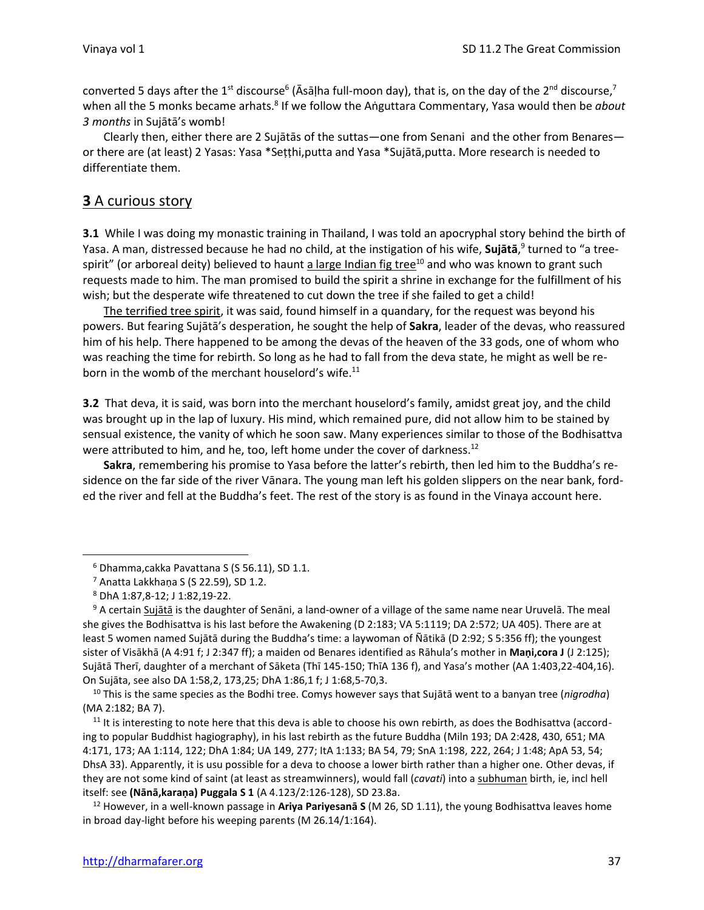converted 5 days after the 1<sup>st</sup> discourse<sup>6</sup> (Āsāḷha full-moon day), that is, on the day of the 2<sup>nd</sup> discourse,<sup>7</sup> when all the 5 monks became arhats.<sup>8</sup> If we follow the Aṅguttara Commentary, Yasa would then be *about 3 months* in Sujātā's womb!

Clearly then, either there are 2 Sujātās of the suttas—one from Senani and the other from Benares or there are (at least) 2 Yasas: Yasa \*Seṭṭhi,putta and Yasa \*Sujātā,putta. More research is needed to differentiate them.

## **3** A curious story

**3.1** While I was doing my monastic training in Thailand, I was told an apocryphal story behind the birth of Yasa. A man, distressed because he had no child, at the instigation of his wife, **Sujātā**, 9 turned to "a treespirit" (or arboreal deity) believed to haunt a large Indian fig tree<sup>10</sup> and who was known to grant such requests made to him. The man promised to build the spirit a shrine in exchange for the fulfillment of his wish; but the desperate wife threatened to cut down the tree if she failed to get a child!

The terrified tree spirit, it was said, found himself in a quandary, for the request was beyond his powers. But fearing Sujātā's desperation, he sought the help of **Sakra**, leader of the devas, who reassured him of his help. There happened to be among the devas of the heaven of the 33 gods, one of whom who was reaching the time for rebirth. So long as he had to fall from the deva state, he might as well be reborn in the womb of the merchant houselord's wife.<sup>11</sup>

**3.2** That deva, it is said, was born into the merchant houselord's family, amidst great joy, and the child was brought up in the lap of luxury. His mind, which remained pure, did not allow him to be stained by sensual existence, the vanity of which he soon saw. Many experiences similar to those of the Bodhisattva were attributed to him, and he, too, left home under the cover of darkness.<sup>12</sup>

**Sakra**, remembering his promise to Yasa before the latter's rebirth, then led him to the Buddha's residence on the far side of the river Vānara. The young man left his golden slippers on the near bank, forded the river and fell at the Buddha's feet. The rest of the story is as found in the Vinaya account here.

<sup>6</sup> Dhamma,cakka Pavattana S (S 56.11), SD 1.1.

<sup>7</sup> Anatta Lakkhaṇa S (S 22.59), SD 1.2.

<sup>8</sup> DhA 1:87,8-12; J 1:82,19-22.

<sup>9</sup> A certain Sujātā is the daughter of Senāni, a land-owner of a village of the same name near Uruvelā. The meal she gives the Bodhisattva is his last before the Awakening (D 2:183; VA 5:1119; DA 2:572; UA 405). There are at least 5 women named Sujātā during the Buddha's time: a laywoman of Ñātikā (D 2:92; S 5:356 ff); the youngest sister of Visākhā (A 4:91 f; J 2:347 ff); a maiden od Benares identified as Rāhula's mother in **Maṇi,cora J** (J 2:125); Sujātā Therī, daughter of a merchant of Sāketa (Thī 145-150; ThīA 136 f), and Yasa's mother (AA 1:403,22-404,16). On Sujāta, see also DA 1:58,2, 173,25; DhA 1:86,1 f; J 1:68,5-70,3.

<sup>10</sup> This is the same species as the Bodhi tree. Comys however says that Sujātā went to a banyan tree (*nigrodha*) (MA 2:182; BA 7).

 $11$  It is interesting to note here that this deva is able to choose his own rebirth, as does the Bodhisattva (according to popular Buddhist hagiography), in his last rebirth as the future Buddha (Miln 193; DA 2:428, 430, 651; MA 4:171, 173; AA 1:114, 122; DhA 1:84; UA 149, 277; ItA 1:133; BA 54, 79; SnA 1:198, 222, 264; J 1:48; ApA 53, 54; DhsA 33). Apparently, it is usu possible for a deva to choose a lower birth rather than a higher one. Other devas, if they are not some kind of saint (at least as streamwinners), would fall (*cavati*) into a subhuman birth, ie, incl hell itself: see **(Nānā,karaṇa) Puggala S 1** (A 4.123/2:126-128), SD 23.8a.

<sup>12</sup> However, in a well-known passage in **Ariya Pariyesanā S** (M 26, SD 1.11), the young Bodhisattva leaves home in broad day-light before his weeping parents (M 26.14/1:164).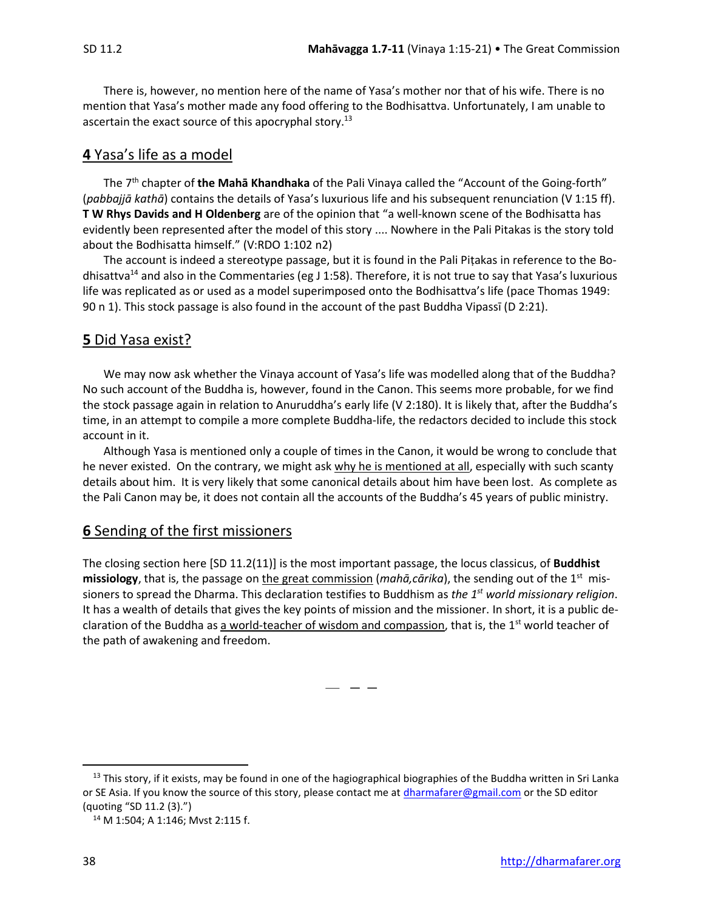There is, however, no mention here of the name of Yasa's mother nor that of his wife. There is no mention that Yasa's mother made any food offering to the Bodhisattva. Unfortunately, I am unable to ascertain the exact source of this apocryphal story.<sup>13</sup>

## **4** Yasa's life as a model

The 7 th chapter of **the Mahā Khandhaka** of the Pali Vinaya called the "Account of the Going-forth" (*pabbajjā kathā*) contains the details of Yasa's luxurious life and his subsequent renunciation (V 1:15 ff). **T W Rhys Davids and H Oldenberg** are of the opinion that "a well-known scene of the Bodhisatta has evidently been represented after the model of this story .... Nowhere in the Pali Pitakas is the story told about the Bodhisatta himself." (V:RDO 1:102 n2)

The account is indeed a stereotype passage, but it is found in the Pali Piṭakas in reference to the Bodhisattva<sup>14</sup> and also in the Commentaries (eg J 1:58). Therefore, it is not true to say that Yasa's luxurious life was replicated as or used as a model superimposed onto the Bodhisattva's life (pace Thomas 1949: 90 n 1). This stock passage is also found in the account of the past Buddha Vipassī (D 2:21).

## **5** Did Yasa exist?

We may now ask whether the Vinaya account of Yasa's life was modelled along that of the Buddha? No such account of the Buddha is, however, found in the Canon. This seems more probable, for we find the stock passage again in relation to Anuruddha's early life (V 2:180). It is likely that, after the Buddha's time, in an attempt to compile a more complete Buddha-life, the redactors decided to include this stock account in it.

Although Yasa is mentioned only a couple of times in the Canon, it would be wrong to conclude that he never existed. On the contrary, we might ask why he is mentioned at all, especially with such scanty details about him. It is very likely that some canonical details about him have been lost. As complete as the Pali Canon may be, it does not contain all the accounts of the Buddha's 45 years of public ministry.

## **6** Sending of the first missioners

The closing section here [SD 11.2(11)] is the most important passage, the locus classicus, of **Buddhist missiology**, that is, the passage on the great commission (*mahā,cārika*), the sending out of the 1st missioners to spread the Dharma. This declaration testifies to Buddhism as *the 1 st world missionary religion*. It has a wealth of details that gives the key points of mission and the missioner. In short, it is a public declaration of the Buddha as a world-teacher of wisdom and compassion, that is, the  $1<sup>st</sup>$  world teacher of the path of awakening and freedom.

— — —

 $13$  This story, if it exists, may be found in one of the hagiographical biographies of the Buddha written in Sri Lanka or SE Asia. If you know the source of this story, please contact me at *dharmafarer@gmail.com* or the SD editor (quoting "SD 11.2 (3).")

<sup>14</sup> M 1:504; A 1:146; Mvst 2:115 f.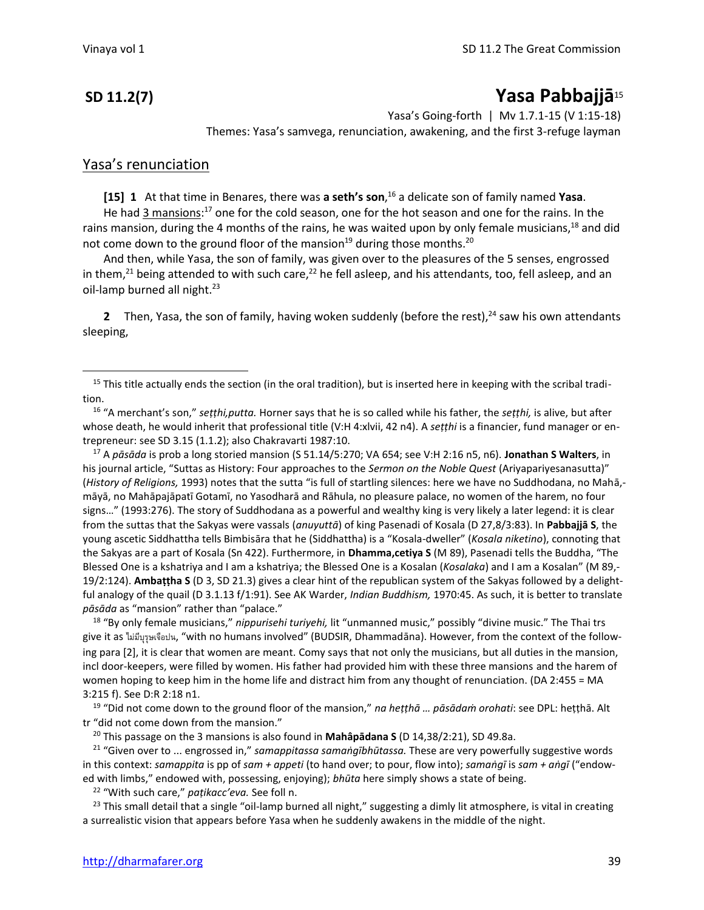## **SD 11.2(7) Yasa Pabbajjā**<sup>15</sup>

Yasa's Going-forth | Mv 1.7.1-15 (V 1:15-18) Themes: Yasa's samvega, renunciation, awakening, and the first 3-refuge layman

### Yasa's renunciation

**[15] 1** At that time in Benares, there was **a seth's son**, <sup>16</sup> a delicate son of family named **Yasa**.

He had 3 mansions:<sup>17</sup> one for the cold season, one for the hot season and one for the rains. In the rains mansion, during the 4 months of the rains, he was waited upon by only female musicians,<sup>18</sup> and did not come down to the ground floor of the mansion<sup>19</sup> during those months.<sup>20</sup>

And then, while Yasa, the son of family, was given over to the pleasures of the 5 senses, engrossed in them,<sup>21</sup> being attended to with such care,<sup>22</sup> he fell asleep, and his attendants, too, fell asleep, and an oil-lamp burned all night. $23$ 

**2** Then, Yasa, the son of family, having woken suddenly (before the rest),<sup>24</sup> saw his own attendants sleeping,

<sup>16</sup> "A merchant's son," *seṭṭhi,putta.* Horner says that he is so called while his father, the *seṭṭhi,* is alive, but after whose death, he would inherit that professional title (V:H 4:xlvii, 42 n4). A *seṭṭhi* is a financier, fund manager or entrepreneur: see SD 3.15 (1.1.2); also Chakravarti 1987:10.

<sup>17</sup> A *pāsāda* is prob a long storied mansion (S 51.14/5:270; VA 654; see V:H 2:16 n5, n6). **Jonathan S Walters**, in his journal article, "Suttas as History: Four approaches to the *Sermon on the Noble Quest* (Ariyapariyesanasutta)" (*History of Religions,* 1993) notes that the sutta "is full of startling silences: here we have no Suddhodana, no Mahā, māyā, no Mahāpajāpatī Gotamī, no Yasodharā and Rāhula, no pleasure palace, no women of the harem, no four signs…" (1993:276). The story of Suddhodana as a powerful and wealthy king is very likely a later legend: it is clear from the suttas that the Sakyas were vassals (*anuyuttā*) of king Pasenadi of Kosala (D 27,8/3:83). In **Pabbajjā S**, the young ascetic Siddhattha tells Bimbisāra that he (Siddhattha) is a "Kosala-dweller" (*Kosala niketino*), connoting that the Sakyas are a part of Kosala (Sn 422). Furthermore, in **Dhamma,cetiya S** (M 89), Pasenadi tells the Buddha, "The Blessed One is a kshatriya and I am a kshatriya; the Blessed One is a Kosalan (*Kosalaka*) and I am a Kosalan" (M 89,- 19/2:124). **Ambaṭṭha S** (D 3, SD 21.3) gives a clear hint of the republican system of the Sakyas followed by a delightful analogy of the quail (D 3.1.13 f/1:91). See AK Warder, *Indian Buddhism,* 1970:45. As such, it is better to translate *pāsāda* as "mansion" rather than "palace."

<sup>18</sup> "By only female musicians," *nippurisehi turiyehi,* lit "unmanned music," possibly "divine music." The Thai trs give it as ไม่มีบุรุษเจือปน, "with no humans involved" (BUDSIR, Dhammadāna). However, from the context of the following para [2], it is clear that women are meant. Comy says that not only the musicians, but all duties in the mansion, incl door-keepers, were filled by women. His father had provided him with these three mansions and the harem of women hoping to keep him in the home life and distract him from any thought of renunciation. (DA 2:455 = MA 3:215 f). See D:R 2:18 n1.

<sup>19</sup> "Did not come down to the ground floor of the mansion," *na heṭṭhā … pāsādaṁ orohati*: see DPL: heṭṭhā. Alt tr "did not come down from the mansion."

<sup>20</sup> This passage on the 3 mansions is also found in **Mahâpādana S** (D 14,38/2:21), SD 49.8a.

<sup>21</sup> "Given over to ... engrossed in," *samappitassa samaṅgībhūtassa.* These are very powerfully suggestive words in this context: *samappita* is pp of *sam + appeti* (to hand over; to pour, flow into); *samaṅgī* is *sam + aṅgī* ("endowed with limbs," endowed with, possessing, enjoying); *bhūta* here simply shows a state of being.

<sup>22</sup> "With such care," *paṭikacc'eva.* See foll n.

 $23$  This small detail that a single "oil-lamp burned all night," suggesting a dimly lit atmosphere, is vital in creating a surrealistic vision that appears before Yasa when he suddenly awakens in the middle of the night.

 $15$  This title actually ends the section (in the oral tradition), but is inserted here in keeping with the scribal tradition.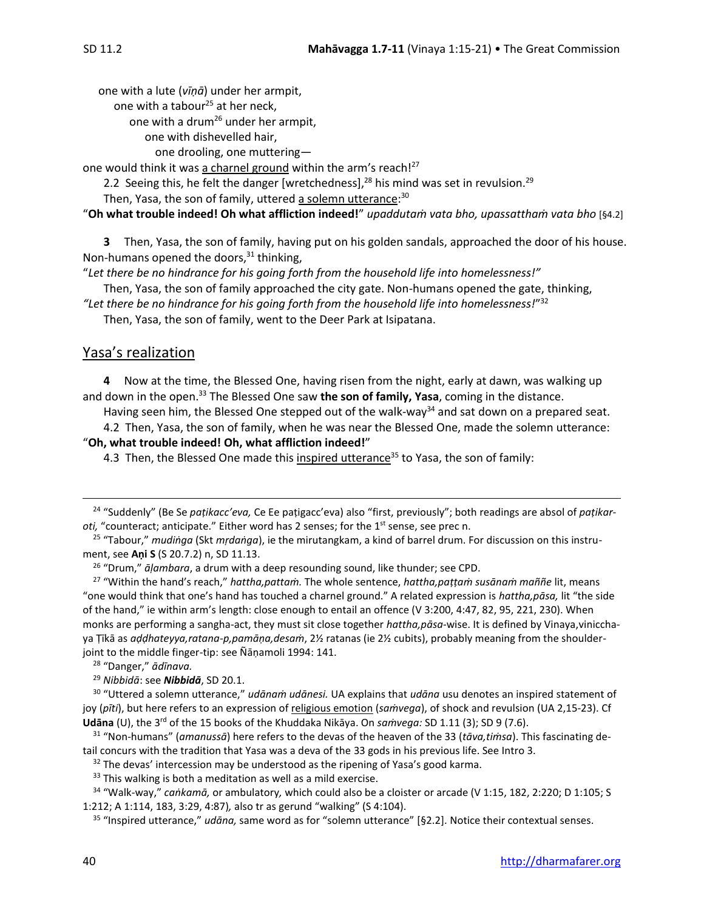one with a lute (*vīṇā*) under her armpit,

one with a tabour<sup>25</sup> at her neck,

one with a drum<sup>26</sup> under her armpit,

one with dishevelled hair,

one drooling, one muttering—

one would think it was a charnel ground within the arm's reach!<sup>27</sup>

2.2 Seeing this, he felt the danger [wretchedness],<sup>28</sup> his mind was set in revulsion.<sup>29</sup>

Then, Yasa, the son of family, uttered <u>a solemn utterance</u>:<sup>30</sup>

"**Oh what trouble indeed! Oh what affliction indeed!**" *upaddutaṁ vata bho, upassatthaṁ vata bho* [§4.2]

**3** Then, Yasa, the son of family, having put on his golden sandals, approached the door of his house. Non-humans opened the doors, $31$  thinking,

"*Let there be no hindrance for his going forth from the household life into homelessness!"*

Then, Yasa, the son of family approached the city gate. Non-humans opened the gate, thinking,

*"Let there be no hindrance for his going forth from the household life into homelessness!*" 32

Then, Yasa, the son of family, went to the Deer Park at Isipatana.

## Yasa's realization

**4** Now at the time, the Blessed One, having risen from the night, early at dawn, was walking up and down in the open.<sup>33</sup> The Blessed One saw **the son of family, Yasa**, coming in the distance.

Having seen him, the Blessed One stepped out of the walk-way<sup>34</sup> and sat down on a prepared seat.

4.2 Then, Yasa, the son of family, when he was near the Blessed One, made the solemn utterance: "**Oh, what trouble indeed! Oh, what affliction indeed!**"

4.3 Then, the Blessed One made this inspired utterance<sup>35</sup> to Yasa, the son of family:

<sup>26</sup> "Drum," *āḷambara*, a drum with a deep resounding sound, like thunder; see CPD.

<sup>27</sup> "Within the hand's reach," *hattha,pattaṁ.* The whole sentence, *hattha,paṭṭaṁ susānaṁ maññe* lit, means "one would think that one's hand has touched a charnel ground." A related expression is *hattha,pāsa,* lit "the side of the hand," ie within arm's length: close enough to entail an offence (V 3:200, 4:47, 82, 95, 221, 230). When monks are performing a sangha-act, they must sit close together *hattha,pāsa*-wise. It is defined by Vinaya,vinicchaya Ṭīkā as *aḍḍhateyya,ratana-p,pamāṇa,desaṁ*, 2½ ratanas (ie 2½ cubits), probably meaning from the shoulderjoint to the middle finger-tip: see Ñānamoli 1994: 141.

<sup>28</sup> "Danger," *ādīnava.*

<sup>29</sup> *Nibbidā*: see *Nibbidā*, SD 20.1.

30 "Uttered a solemn utterance," *udānaṁ udānesi.* UA explains that *udāna* usu denotes an inspired statement of joy (*pīti*), but here refers to an expression of religious emotion (*saṁvega*), of shock and revulsion (UA 2,15-23). Cf Udāna (U), the 3<sup>rd</sup> of the 15 books of the Khuddaka Nikāya. On *saṁvega:* SD 1.11 (3); SD 9 (7.6).

<sup>31</sup> "Non-humans" (*amanussā*) here refers to the devas of the heaven of the 33 (*tāva,tiṁsa*). This fascinating detail concurs with the tradition that Yasa was a deva of the 33 gods in his previous life. See Intro 3.

 $32$  The devas' intercession may be understood as the ripening of Yasa's good karma.

 $33$  This walking is both a meditation as well as a mild exercise.

<sup>34</sup> "Walk-way," *caṅkamā,* or ambulatory*,* which could also be a cloister or arcade (V 1:15, 182, 2:220; D 1:105; S 1:212; A 1:114, 183, 3:29, 4:87)*,* also tr as gerund "walking" (S 4:104).

<sup>35</sup> "Inspired utterance," *udāna,* same word as for "solemn utterance" [§2.2]. Notice their contextual senses.

<sup>24</sup> "Suddenly" (Be Se *paṭikacc'eva,* Ce Ee paṭigacc'eva) also "first, previously"; both readings are absol of *paṭikar*oti, "counteract; anticipate." Either word has 2 senses; for the 1<sup>st</sup> sense, see prec n.

<sup>25</sup> "Tabour," *mudiṅga* (Skt *mṛdaṅga*), ie the mirutangkam, a kind of barrel drum. For discussion on this instrument, see **Aṇi S** (S 20.7.2) n, SD 11.13.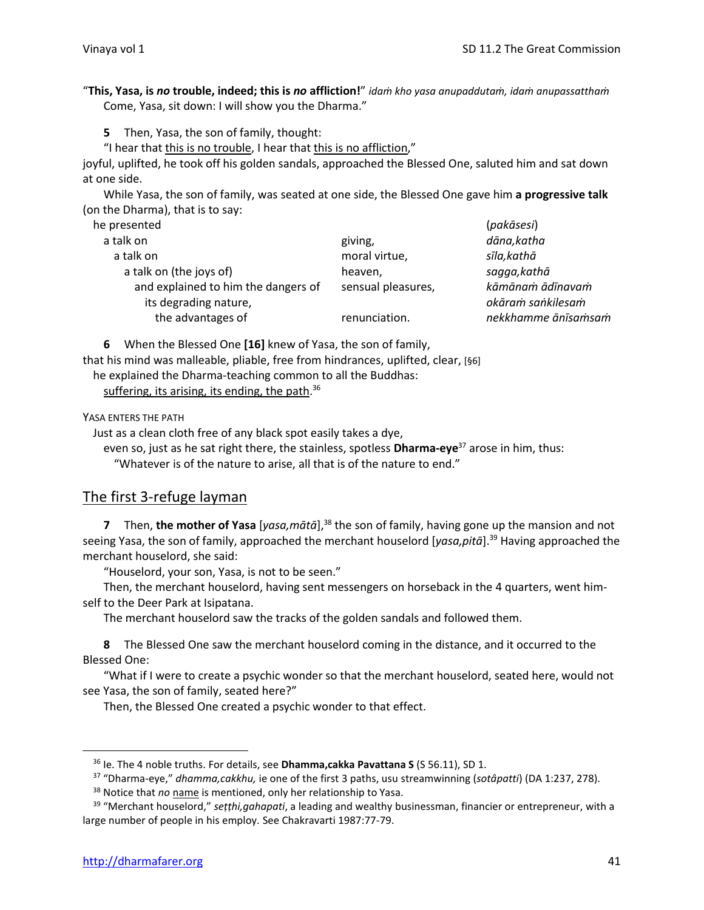"**This, Yasa, is** *no* **trouble, indeed; this is** *no* **affliction!**" *idaṁ kho yasa anupaddutaṁ, idaṁ anupassatthaṁ* Come, Yasa, sit down: I will show you the Dharma."

**5** Then, Yasa, the son of family, thought:

"I hear that this is no trouble, I hear that this is no affliction,"

joyful, uplifted, he took off his golden sandals, approached the Blessed One, saluted him and sat down at one side.

While Yasa, the son of family, was seated at one side, the Blessed One gave him **a progressive talk**  (on the Dharma), that is to say:

| he presented                                                 |                    | (pakāsesi)                            |
|--------------------------------------------------------------|--------------------|---------------------------------------|
| a talk on                                                    | giving,            | dāna,katha                            |
| a talk on                                                    | moral virtue,      | sīla,kathā                            |
| a talk on (the joys of)                                      | heaven,            | sagga, kathā                          |
| and explained to him the dangers of<br>its degrading nature, | sensual pleasures, | kāmānam ādīnavam<br>okāram sankilesam |
| the advantages of                                            | renunciation.      | nekkhamme ānīsamsam                   |

**6** When the Blessed One **[16]** knew of Yasa, the son of family,

that his mind was malleable, pliable, free from hindrances, uplifted, clear, [§6] he explained the Dharma-teaching common to all the Buddhas:

suffering, its arising, its ending, the path.<sup>36</sup>

YASA ENTERS THE PATH

Just as a clean cloth free of any black spot easily takes a dye,

even so, just as he sat right there, the stainless, spotless **Dharma-eye**<sup>37</sup> arose in him, thus:

"Whatever is of the nature to arise, all that is of the nature to end."

### The first 3-refuge layman

**7** Then, the mother of Yasa [yasa, mātā],<sup>38</sup> the son of family, having gone up the mansion and not seeing Yasa, the son of family, approached the merchant houselord [*yasa,pitā*]. <sup>39</sup> Having approached the merchant houselord, she said:

"Houselord, your son, Yasa, is not to be seen."

Then, the merchant houselord, having sent messengers on horseback in the 4 quarters, went himself to the Deer Park at Isipatana.

The merchant houselord saw the tracks of the golden sandals and followed them.

**8** The Blessed One saw the merchant houselord coming in the distance, and it occurred to the Blessed One:

"What if I were to create a psychic wonder so that the merchant houselord, seated here, would not see Yasa, the son of family, seated here?"

Then, the Blessed One created a psychic wonder to that effect.

<sup>36</sup> Ie. The 4 noble truths. For details, see **Dhamma,cakka Pavattana S** (S 56.11), SD 1.

<sup>37</sup> "Dharma-eye," *dhamma,cakkhu,* ie one of the first 3 paths, usu streamwinning (*sotâpatti*) (DA 1:237, 278).

<sup>&</sup>lt;sup>38</sup> Notice that *no* name is mentioned, only her relationship to Yasa.

<sup>39</sup> "Merchant houselord," *seṭṭhi,gahapati*, a leading and wealthy businessman, financier or entrepreneur, with a large number of people in his employ*.* See Chakravarti 1987:77-79.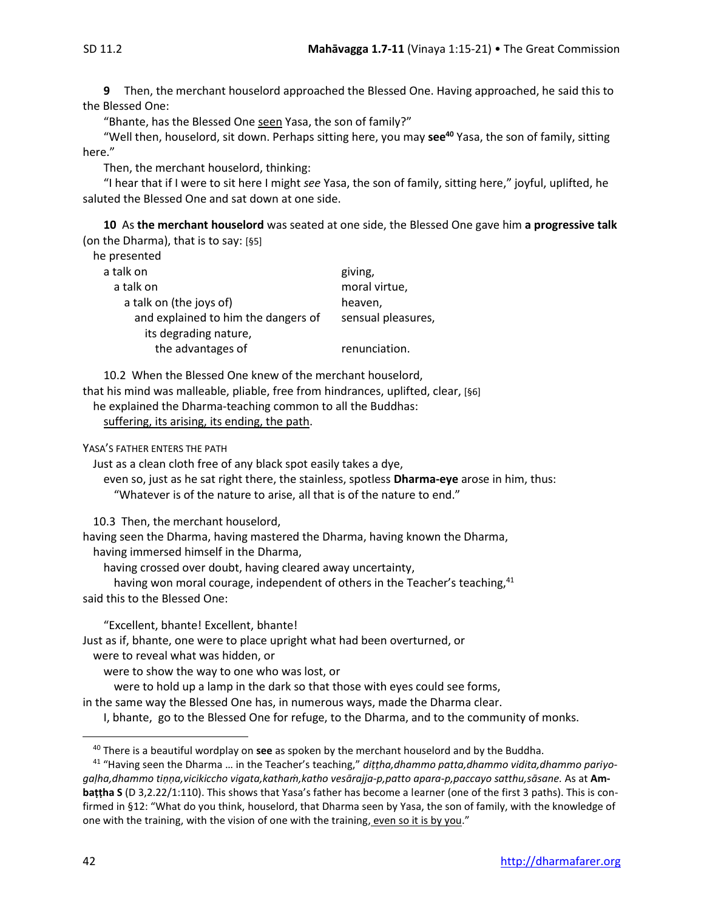**9** Then, the merchant houselord approached the Blessed One. Having approached, he said this to the Blessed One:

"Bhante, has the Blessed One seen Yasa, the son of family?"

"Well then, houselord, sit down. Perhaps sitting here, you may **see<sup>40</sup>** Yasa, the son of family, sitting here."

Then, the merchant houselord, thinking:

"I hear that if I were to sit here I might *see* Yasa, the son of family, sitting here," joyful, uplifted, he saluted the Blessed One and sat down at one side.

**10** As **the merchant houselord** was seated at one side, the Blessed One gave him **a progressive talk** (on the Dharma), that is to say: [§5]

he presented

| giving,            |
|--------------------|
| moral virtue,      |
| heaven,            |
| sensual pleasures, |
|                    |
| renunciation.      |
|                    |

10.2 When the Blessed One knew of the merchant houselord, that his mind was malleable, pliable, free from hindrances, uplifted, clear, [§6] he explained the Dharma-teaching common to all the Buddhas: suffering, its arising, its ending, the path.

YASA'S FATHER ENTERS THE PATH

Just as a clean cloth free of any black spot easily takes a dye,

even so, just as he sat right there, the stainless, spotless **Dharma-eye** arose in him, thus: "Whatever is of the nature to arise, all that is of the nature to end."

10.3Then, the merchant houselord,

having seen the Dharma, having mastered the Dharma, having known the Dharma,

having immersed himself in the Dharma,

having crossed over doubt, having cleared away uncertainty,

having won moral courage, independent of others in the Teacher's teaching, <sup>41</sup> said this to the Blessed One:

"Excellent, bhante! Excellent, bhante!

Just as if, bhante, one were to place upright what had been overturned, or

were to reveal what was hidden, or

were to show the way to one who was lost, or

were to hold up a lamp in the dark so that those with eyes could see forms,

in the same way the Blessed One has, in numerous ways, made the Dharma clear.

I, bhante, go to the Blessed One for refuge, to the Dharma, and to the community of monks.

<sup>40</sup> There is a beautiful wordplay on **see** as spoken by the merchant houselord and by the Buddha.

<sup>41</sup> "Having seen the Dharma … in the Teacher's teaching," *diṭṭha,dhammo patta,dhammo vidita,dhammo pariyogaḷha,dhammo tiṇṇa,vicikiccho vigata,kathaṁ,katho vesārajja-p,patto apara-p,paccayo satthu,sāsane.* As at **Ambaṭṭha S** (D 3,2.22/1:110). This shows that Yasa's father has become a learner (one of the first 3 paths). This is confirmed in §12: "What do you think, houselord, that Dharma seen by Yasa, the son of family, with the knowledge of one with the training, with the vision of one with the training, even so it is by you."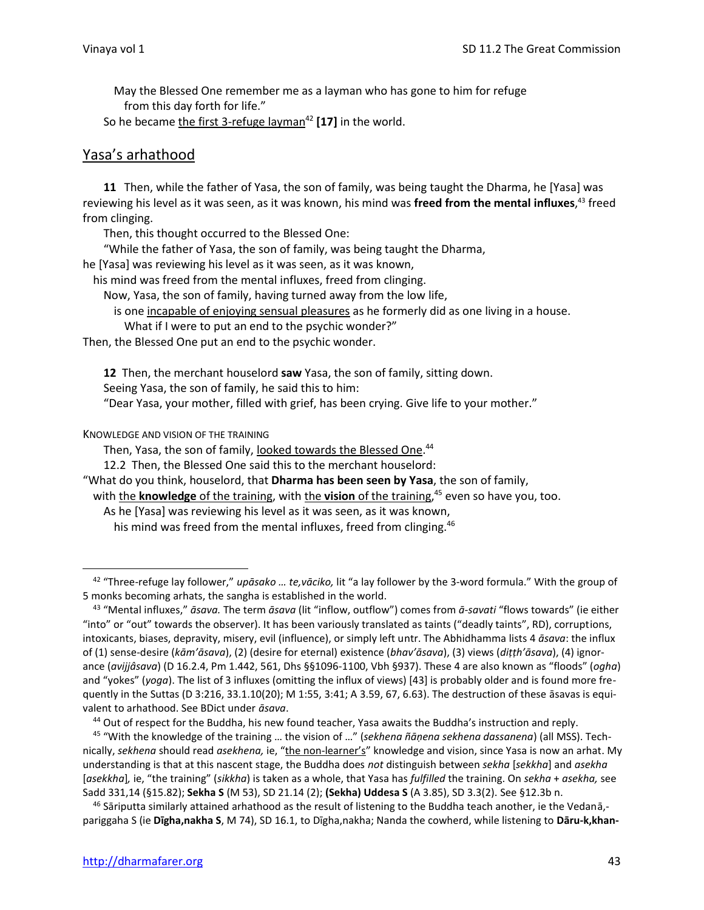May the Blessed One remember me as a layman who has gone to him for refuge from this day forth for life."

So he became the first 3-refuge layman<sup>42</sup> [17] in the world.

## Yasa's arhathood

**11** Then, while the father of Yasa, the son of family, was being taught the Dharma, he [Yasa] was reviewing his level as it was seen, as it was known, his mind was **freed from the mental influxes**, <sup>43</sup> freed from clinging.

Then, this thought occurred to the Blessed One:

"While the father of Yasa, the son of family, was being taught the Dharma,

he [Yasa] was reviewing his level as it was seen, as it was known,

his mind was freed from the mental influxes, freed from clinging.

Now, Yasa, the son of family, having turned away from the low life,

is one incapable of enjoying sensual pleasures as he formerly did as one living in a house.

What if I were to put an end to the psychic wonder?"

Then, the Blessed One put an end to the psychic wonder.

**12** Then, the merchant houselord **saw** Yasa, the son of family, sitting down.

Seeing Yasa, the son of family, he said this to him:

"Dear Yasa, your mother, filled with grief, has been crying. Give life to your mother."

KNOWLEDGE AND VISION OF THE TRAINING

Then, Yasa, the son of family, looked towards the Blessed One.<sup>44</sup>

12.2 Then, the Blessed One said this to the merchant houselord:

"What do you think, houselord, that **Dharma has been seen by Yasa**, the son of family,

with the **knowledge** of the training, with the **vision** of the training, <sup>45</sup> even so have you, too.

As he [Yasa] was reviewing his level as it was seen, as it was known,

his mind was freed from the mental influxes, freed from clinging.<sup>46</sup>

<sup>42</sup> "Three-refuge lay follower," *upāsako … te,vāciko,* lit "a lay follower by the 3-word formula." With the group of 5 monks becoming arhats, the sangha is established in the world.

<sup>43</sup> "Mental influxes," *āsava.* The term *āsava* (lit "inflow, outflow") comes from *ā-savati* "flows towards" (ie either "into" or "out" towards the observer). It has been variously translated as taints ("deadly taints", RD), corruptions, intoxicants, biases, depravity, misery, evil (influence), or simply left untr. The Abhidhamma lists 4 *āsava*: the influx of (1) sense-desire (*kām'āsava*), (2) (desire for eternal) existence (*bhav'āsava*), (3) views (*diṭṭh'āsava*), (4) ignorance (*avijjâsava*) (D 16.2.4, Pm 1.442, 561, Dhs §§1096-1100, Vbh §937). These 4 are also known as "floods" (*ogha*) and "yokes" (*yoga*). The list of 3 influxes (omitting the influx of views) [43] is probably older and is found more frequently in the Suttas (D 3:216, 33.1.10(20); M 1:55, 3:41; A 3.59, 67, 6.63). The destruction of these āsavas is equivalent to arhathood. See BDict under *āsava*.

<sup>44</sup> Out of respect for the Buddha, his new found teacher, Yasa awaits the Buddha's instruction and reply.

<sup>45</sup> "With the knowledge of the training … the vision of …" (*sekhena ñāṇena sekhena dassanena*) (all MSS). Technically, *sekhena* should read *asekhena,* ie, "the non-learner's" knowledge and vision, since Yasa is now an arhat. My understanding is that at this nascent stage, the Buddha does *not* distinguish between *sekha* [*sekkha*] and *asekha* [*asekkha*]*,* ie, "the training" (*sikkha*) is taken as a whole, that Yasa has *fulfilled* the training. On *sekha* + *asekha,* see Sadd 331,14 (§15.82); **Sekha S** (M 53), SD 21.14 (2); **(Sekha) Uddesa S** (A 3.85), SD 3.3(2). See §12.3b n.

 $^{46}$  Sāriputta similarly attained arhathood as the result of listening to the Buddha teach another, ie the Vedanā,pariggaha S (ie **Dīgha,nakha S**, M 74), SD 16.1, to Dīgha,nakha; Nanda the cowherd, while listening to **Dāru-k,khan-**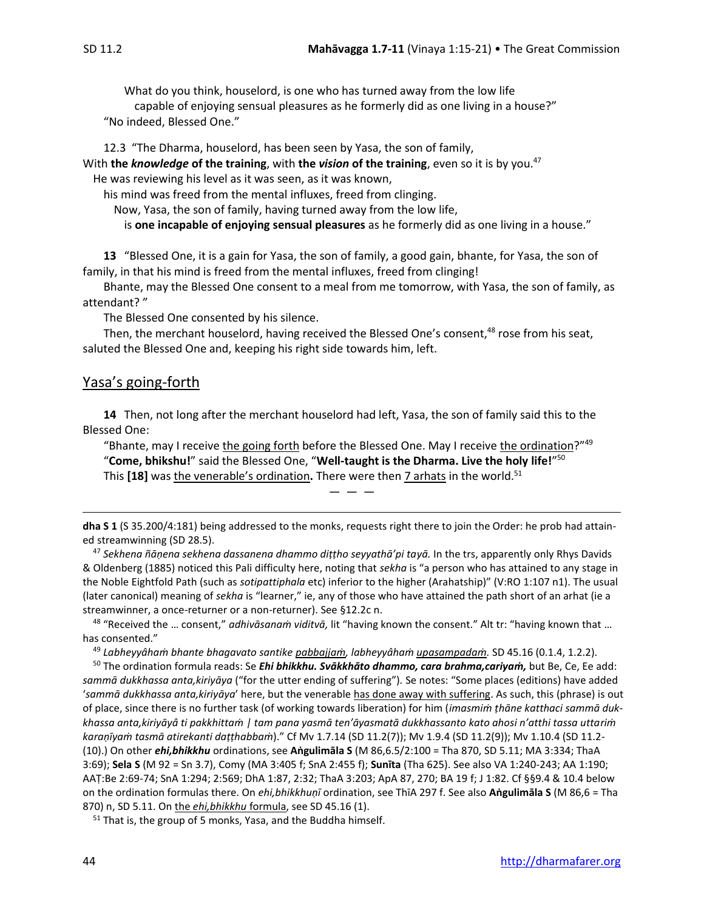What do you think, houselord, is one who has turned away from the low life capable of enjoying sensual pleasures as he formerly did as one living in a house?" "No indeed, Blessed One."

12.3 "The Dharma, houselord, has been seen by Yasa, the son of family, With **the** *knowledge* **of the training**, with **the** *vision* **of the training**, even so it is by you.<sup>47</sup> He was reviewing his level as it was seen, as it was known,

his mind was freed from the mental influxes, freed from clinging.

Now, Yasa, the son of family, having turned away from the low life,

is **one incapable of enjoying sensual pleasures** as he formerly did as one living in a house."

**13** "Blessed One, it is a gain for Yasa, the son of family, a good gain, bhante, for Yasa, the son of family, in that his mind is freed from the mental influxes, freed from clinging!

Bhante, may the Blessed One consent to a meal from me tomorrow, with Yasa, the son of family, as attendant? "

The Blessed One consented by his silence.

Then, the merchant houselord, having received the Blessed One's consent,<sup>48</sup> rose from his seat, saluted the Blessed One and, keeping his right side towards him, left.

## Yasa's going-forth

**14** Then, not long after the merchant houselord had left, Yasa, the son of family said this to the Blessed One:

"Bhante, may I receive the going forth before the Blessed One. May I receive the ordination?"<sup>49</sup> "**Come, bhikshu!**" said the Blessed One, "**Well-taught is the Dharma. Live the holy life!**" 50 This [18] was the venerable's ordination. There were then 7 arhats in the world.<sup>51</sup>

 $-$ 

<sup>47</sup> *Sekhena ñāṇena sekhena dassanena dhammo diṭṭho seyyathā'pi tayā.* In the trs, apparently only Rhys Davids & Oldenberg (1885) noticed this Pali difficulty here, noting that *sekha* is "a person who has attained to any stage in the Noble Eightfold Path (such as *sotipattiphala* etc) inferior to the higher (Arahatship)" (V:RO 1:107 n1). The usual (later canonical) meaning of *sekha* is "learner," ie, any of those who have attained the path short of an arhat (ie a streamwinner, a once-returner or a non-returner). See §12.2c n.

<sup>48</sup> "Received the … consent," *adhivāsanaṁ viditvā,* lit "having known the consent." Alt tr: "having known that … has consented."

<sup>49</sup> *Labheyyâhaṁ bhante bhagavato santike pabbajjaṁ, labheyyâhaṁ upasampadaṁ.* SD 45.16 (0.1.4, 1.2.2).

<sup>50</sup> The ordination formula reads: Se *Ehi bhikkhu. Svākkhāto dhammo, cara brahma,cariyaṁ,* but Be, Ce, Ee add: *sammā dukkhassa anta,kiriyāya* ("for the utter ending of suffering")*.* Se notes: "Some places (editions) have added '*sammā dukkhassa anta,kiriyāya*' here, but the venerable has done away with suffering. As such, this (phrase) is out of place, since there is no further task (of working towards liberation) for him (*imasmiṁ ṭhāne katthaci sammā dukkhassa anta,kiriyāyâ ti pakkhittaṁ | tam pana yasmā ten'āyasmatā dukkhassanto kato ahosi n'atthi tassa uttariṁ karaṇīyaṁ tasmā atirekanti daṭṭhabbaṁ*)." Cf Mv 1.7.14 (SD 11.2(7)); Mv 1.9.4 (SD 11.2(9)); Mv 1.10.4 (SD 11.2- (10).) On other *ehi,bhikkhu* ordinations, see **Aṅgulimāla S** (M 86,6.5/2:100 = Tha 870, SD 5.11; MA 3:334; ThaA 3:69); **Sela S** (M 92 = Sn 3.7), Comy (MA 3:405 f; SnA 2:455 f); **Sunīta** (Tha 625). See also VA 1:240-243; AA 1:190; AAṬ:Be 2:69-74; SnA 1:294; 2:569; DhA 1:87, 2:32; ThaA 3:203; ApA 87, 270; BA 19 f; J 1:82. Cf §§9.4 & 10.4 below on the ordination formulas there. On *ehi,bhikkhuṇī* ordination, see ThīA 297 f. See also **Aṅgulimāla S** (M 86,6 = Tha 870) n, SD 5.11. On the *ehi,bhikkhu* formula, see SD 45.16 (1).

<sup>51</sup> That is, the group of 5 monks, Yasa, and the Buddha himself.

**dha S 1** (S 35.200/4:181) being addressed to the monks, requests right there to join the Order: he prob had attained streamwinning (SD 28.5).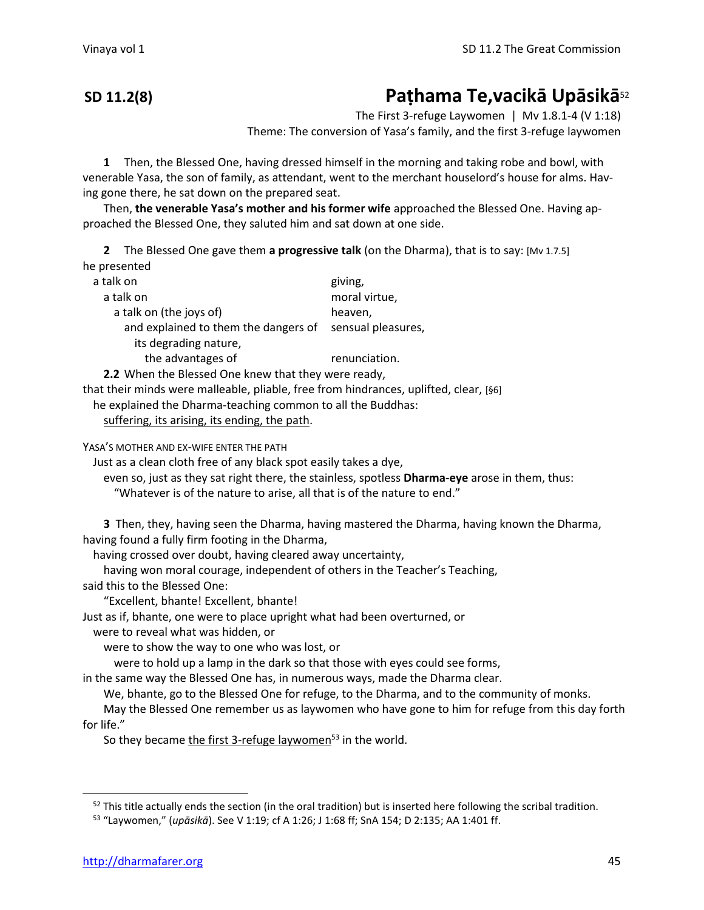## **SD 11.2(8) Paṭhama Te,vacikā Upāsikā**<sup>52</sup>

The First 3-refuge Laywomen  $\mid$  Mv 1.8.1-4 (V 1:18) Theme: The conversion of Yasa's family, and the first 3-refuge laywomen

**1** Then, the Blessed One, having dressed himself in the morning and taking robe and bowl, with

venerable Yasa, the son of family, as attendant, went to the merchant houselord's house for alms. Having gone there, he sat down on the prepared seat.

Then, **the venerable Yasa's mother and his former wife** approached the Blessed One. Having approached the Blessed One, they saluted him and sat down at one side.

**2** The Blessed One gave them **a progressive talk** (on the Dharma), that is to say: [Mv 1.7.5] he presented

| a talk on                                                                                                   | giving,            |
|-------------------------------------------------------------------------------------------------------------|--------------------|
| a talk on                                                                                                   | moral virtue,      |
| a talk on (the joys of)                                                                                     | heaven,            |
| and explained to them the dangers of                                                                        | sensual pleasures, |
| its degrading nature,                                                                                       |                    |
| the advantages of                                                                                           | renunciation.      |
| 2.2 When the Blessed One knew that they were ready,                                                         |                    |
| والمستلأل المتناور ويسترد والمتناول والمتمسك والمتعاط والمتلقي والماسمة المستور والمستنقص والمستنقص والقاعس |                    |

that their minds were malleable, pliable, free from hindrances, uplifted, clear, [§6]

he explained the Dharma-teaching common to all the Buddhas:

suffering, its arising, its ending, the path.

YASA'S MOTHER AND EX-WIFE ENTER THE PATH

Just as a clean cloth free of any black spot easily takes a dye,

even so, just as they sat right there, the stainless, spotless **Dharma-eye** arose in them, thus: "Whatever is of the nature to arise, all that is of the nature to end."

**3** Then, they, having seen the Dharma, having mastered the Dharma, having known the Dharma, having found a fully firm footing in the Dharma,

having crossed over doubt, having cleared away uncertainty,

having won moral courage, independent of others in the Teacher's Teaching,

said this to the Blessed One:

"Excellent, bhante! Excellent, bhante!

Just as if, bhante, one were to place upright what had been overturned, or

were to reveal what was hidden, or

were to show the way to one who was lost, or

were to hold up a lamp in the dark so that those with eyes could see forms,

in the same way the Blessed One has, in numerous ways, made the Dharma clear.

We, bhante, go to the Blessed One for refuge, to the Dharma, and to the community of monks.

May the Blessed One remember us as laywomen who have gone to him for refuge from this day forth for life."

So they became the first 3-refuge laywomen $53$  in the world.

 $52$  This title actually ends the section (in the oral tradition) but is inserted here following the scribal tradition.

<sup>53</sup> "Laywomen," (*upāsikā*). See V 1:19; cf A 1:26; J 1:68 ff; SnA 154; D 2:135; AA 1:401 ff.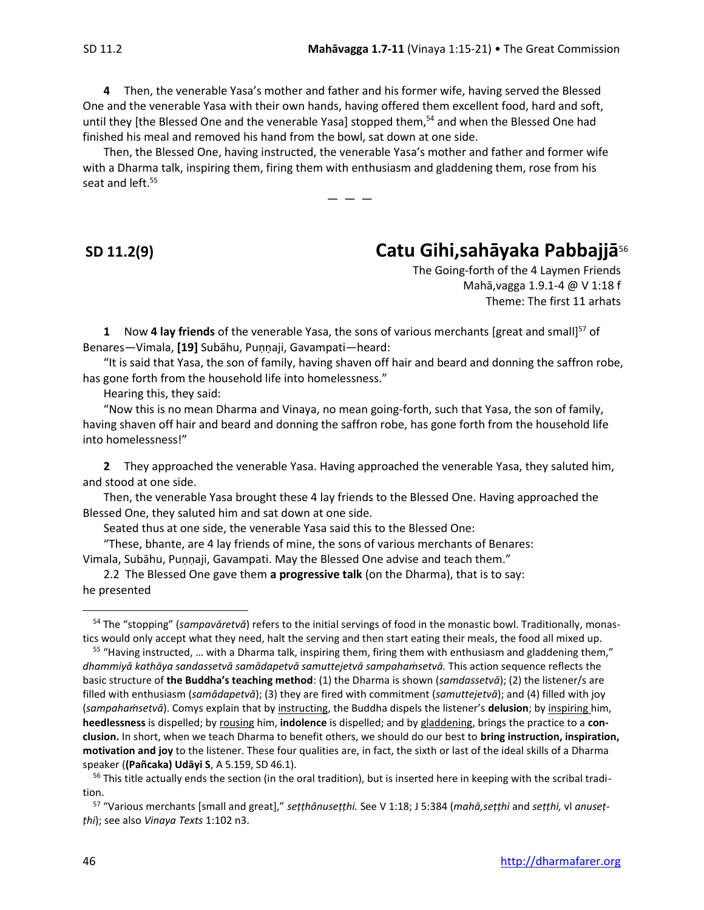**4** Then, the venerable Yasa's mother and father and his former wife, having served the Blessed One and the venerable Yasa with their own hands, having offered them excellent food, hard and soft, until they [the Blessed One and the venerable Yasa] stopped them,<sup>54</sup> and when the Blessed One had finished his meal and removed his hand from the bowl, sat down at one side.

Then, the Blessed One, having instructed, the venerable Yasa's mother and father and former wife with a Dharma talk, inspiring them, firing them with enthusiasm and gladdening them, rose from his seat and left. 55

 $-$ 

## **SD 11.2(9) Catu Gihi,sahāyaka Pabbajjā**<sup>56</sup>

The Going-forth of the 4 Laymen Friends Mahā,vagga 1.9.1-4 @ V 1:18 f Theme: The first 11 arhats

**1** Now **4 lay friends** of the venerable Yasa, the sons of various merchants [great and small]<sup>57</sup> of Benares—Vimala, **[19]** Subāhu, Puṇṇaji, Gavampati—heard:

"It is said that Yasa, the son of family, having shaven off hair and beard and donning the saffron robe, has gone forth from the household life into homelessness."

Hearing this, they said:

"Now this is no mean Dharma and Vinaya, no mean going-forth, such that Yasa, the son of family, having shaven off hair and beard and donning the saffron robe, has gone forth from the household life into homelessness!"

**2** They approached the venerable Yasa. Having approached the venerable Yasa, they saluted him, and stood at one side.

Then, the venerable Yasa brought these 4 lay friends to the Blessed One. Having approached the Blessed One, they saluted him and sat down at one side.

Seated thus at one side, the venerable Yasa said this to the Blessed One:

"These, bhante, are 4 lay friends of mine, the sons of various merchants of Benares: Vimala, Subāhu, Puṇṇaji, Gavampati. May the Blessed One advise and teach them."

2.2 The Blessed One gave them **a progressive talk** (on the Dharma), that is to say: he presented

<sup>54</sup> The "stopping" (*sampavāretvā*) refers to the initial servings of food in the monastic bowl. Traditionally, monastics would only accept what they need, halt the serving and then start eating their meals, the food all mixed up.

 $55$  "Having instructed, ... with a Dharma talk, inspiring them, firing them with enthusiasm and gladdening them," *dhammiyā kathāya sandassetvā samādapetvā samuttejetvā sampahaṁsetvā.* This action sequence reflects the basic structure of **the Buddha's teaching method**: (1) the Dharma is shown (*samdassetvā*); (2) the listener/s are filled with enthusiasm (*samādapetvā*); (3) they are fired with commitment (*samuttejetvā*); and (4) filled with joy (*sampahaṁsetvā*). Comys explain that by instructing, the Buddha dispels the listener's **delusion**; by inspiring him, **heedlessness** is dispelled; by rousing him, **indolence** is dispelled; and by gladdening, brings the practice to a **conclusion.** In short, when we teach Dharma to benefit others, we should do our best to **bring instruction, inspiration, motivation and joy** to the listener. These four qualities are, in fact, the sixth or last of the ideal skills of a Dharma speaker (**(Pañcaka) Udāyi S**, A 5.159, SD 46.1).

<sup>&</sup>lt;sup>56</sup> This title actually ends the section (in the oral tradition), but is inserted here in keeping with the scribal tradition.

<sup>&</sup>lt;sup>57</sup> "Various merchants [small and great]," setthânusetthi. See V 1:18; J 5:384 (mahā, setthi and setthi, vl anuset*ṭhi*); see also *Vinaya Texts* 1:102 n3.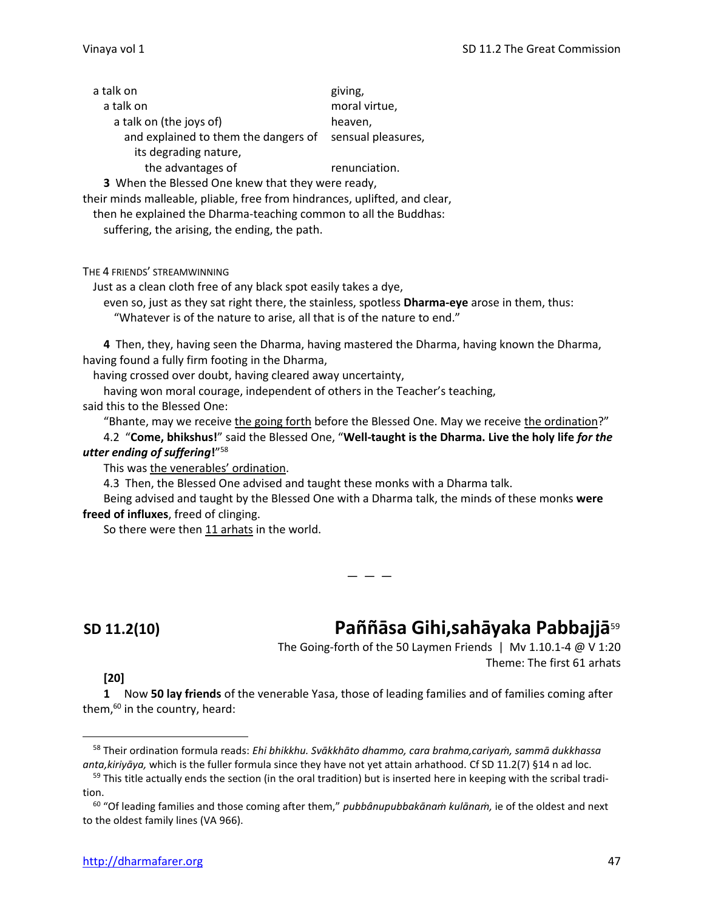| a talk on                                         | giving,            |
|---------------------------------------------------|--------------------|
| a talk on                                         | moral virtue,      |
| a talk on (the joys of)                           | heaven,            |
| and explained to them the dangers of              | sensual pleasures, |
| its degrading nature,                             |                    |
| the advantages of                                 | renunciation.      |
| 3 When the Blessed One knew that they were ready, |                    |

their minds malleable, pliable, free from hindrances, uplifted, and clear,

then he explained the Dharma-teaching common to all the Buddhas:

suffering, the arising, the ending, the path.

THE 4 FRIENDS' STREAMWINNING

Just as a clean cloth free of any black spot easily takes a dye,

even so, just as they sat right there, the stainless, spotless **Dharma-eye** arose in them, thus: "Whatever is of the nature to arise, all that is of the nature to end."

**4** Then, they, having seen the Dharma, having mastered the Dharma, having known the Dharma, having found a fully firm footing in the Dharma,

having crossed over doubt, having cleared away uncertainty,

— — —

having won moral courage, independent of others in the Teacher's teaching,

said this to the Blessed One:

"Bhante, may we receive the going forth before the Blessed One. May we receive the ordination?"

4.2 "**Come, bhikshus!**" said the Blessed One, "**Well-taught is the Dharma. Live the holy life** *for the utter ending of suffering***!**" 58

This was the venerables' ordination.

4.3 Then, the Blessed One advised and taught these monks with a Dharma talk.

Being advised and taught by the Blessed One with a Dharma talk, the minds of these monks **were freed of influxes**, freed of clinging.

So there were then 11 arhats in the world.

# **SD 11.2(10) Paññāsa Gihi,sahāyaka Pabbajjā**<sup>59</sup>

The Going-forth of the 50 Laymen Friends | Mv 1.10.1-4 @ V 1:20 Theme: The first 61 arhats

### **[20]**

**1** Now **50 lay friends** of the venerable Yasa, those of leading families and of families coming after them, <sup>60</sup> in the country, heard:

<sup>58</sup> Their ordination formula reads: *Ehi bhikkhu. Svākkhāto dhammo, cara brahma,cariyaṁ, sammā dukkhassa anta,kiriyāya,* which is the fuller formula since they have not yet attain arhathood. Cf SD 11.2(7) §14 n ad loc.

 $59$  This title actually ends the section (in the oral tradition) but is inserted here in keeping with the scribal tradition.

<sup>60</sup> "Of leading families and those coming after them," *pubbânupubbakānaṁ kulānaṁ,* ie of the oldest and next to the oldest family lines (VA 966).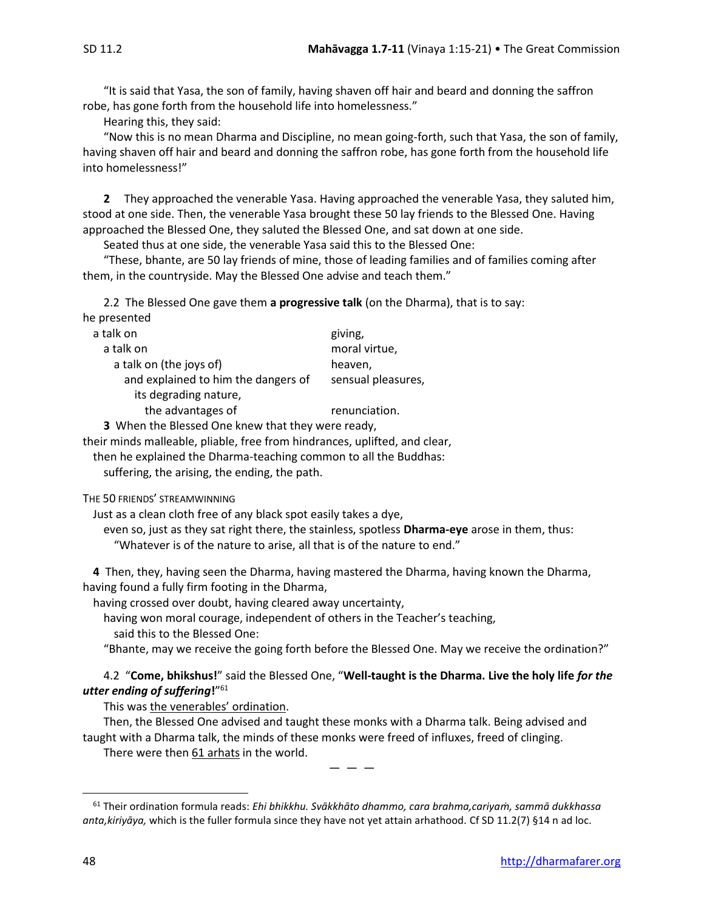he

"It is said that Yasa, the son of family, having shaven off hair and beard and donning the saffron robe, has gone forth from the household life into homelessness."

Hearing this, they said:

"Now this is no mean Dharma and Discipline, no mean going-forth, such that Yasa, the son of family, having shaven off hair and beard and donning the saffron robe, has gone forth from the household life into homelessness!"

**2** They approached the venerable Yasa. Having approached the venerable Yasa, they saluted him, stood at one side. Then, the venerable Yasa brought these 50 lay friends to the Blessed One. Having approached the Blessed One, they saluted the Blessed One, and sat down at one side.

Seated thus at one side, the venerable Yasa said this to the Blessed One:

"These, bhante, are 50 lay friends of mine, those of leading families and of families coming after them, in the countryside. May the Blessed One advise and teach them."

2.2 The Blessed One gave them **a progressive talk** (on the Dharma), that is to say:

| e presentea                                                                 |                    |
|-----------------------------------------------------------------------------|--------------------|
| a talk on                                                                   | giving,            |
| a talk on                                                                   | moral virtue,      |
| a talk on (the joys of)                                                     | heaven,            |
| and explained to him the dangers of                                         | sensual pleasures, |
| its degrading nature,                                                       |                    |
| the advantages of                                                           | renunciation.      |
| $M\ell$ and the Distance of Orion because the theory contract of the $\ell$ |                    |

**3** When the Blessed One knew that they were ready,

their minds malleable, pliable, free from hindrances, uplifted, and clear,

then he explained the Dharma-teaching common to all the Buddhas:

suffering, the arising, the ending, the path.

THE 50 FRIENDS' STREAMWINNING

Just as a clean cloth free of any black spot easily takes a dye,

even so, just as they sat right there, the stainless, spotless **Dharma-eye** arose in them, thus: "Whatever is of the nature to arise, all that is of the nature to end."

**4** Then, they, having seen the Dharma, having mastered the Dharma, having known the Dharma, having found a fully firm footing in the Dharma,

having crossed over doubt, having cleared away uncertainty,

having won moral courage, independent of others in the Teacher's teaching,

said this to the Blessed One:

"Bhante, may we receive the going forth before the Blessed One. May we receive the ordination?"

### 4.2 "**Come, bhikshus!**" said the Blessed One, "**Well-taught is the Dharma. Live the holy life** *for the utter ending of suffering***!**" 61

This was the venerables' ordination.

Then, the Blessed One advised and taught these monks with a Dharma talk. Being advised and taught with a Dharma talk, the minds of these monks were freed of influxes, freed of clinging. There were then 61 arhats in the world.

 $-$ 

<sup>61</sup> Their ordination formula reads: *Ehi bhikkhu. Svākkhāto dhammo, cara brahma,cariyaṁ, sammā dukkhassa anta,kiriyāya,* which is the fuller formula since they have not yet attain arhathood. Cf SD 11.2(7) §14 n ad loc.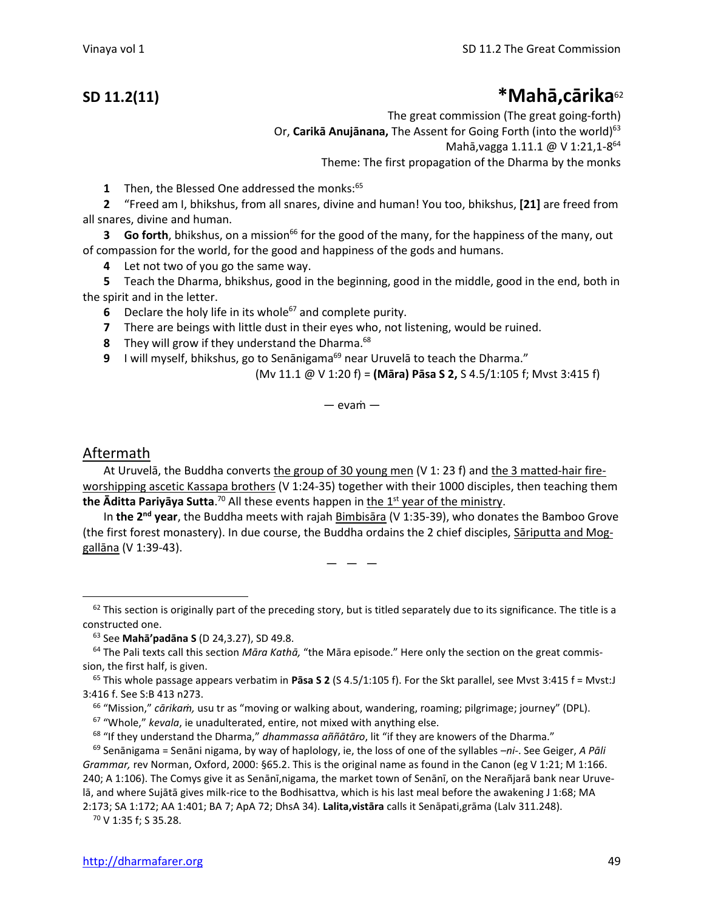## **SD 11.2(11) \*Mahā,cārika**<sup>62</sup>

The great commission (The great going-forth) Or, **Carikā Anujānana**, The Assent for Going Forth (into the world)<sup>63</sup> Mahā, vagga 1.11.1 @ V 1:21, 1-8<sup>64</sup> Theme: The first propagation of the Dharma by the monks

**1** Then, the Blessed One addressed the monks:<sup>65</sup>

**2** "Freed am I, bhikshus, from all snares, divine and human! You too, bhikshus, **[21]** are freed from all snares, divine and human.

**3 Go forth**, bhikshus, on a mission<sup>66</sup> for the good of the many, for the happiness of the many, out of compassion for the world, for the good and happiness of the gods and humans.

**4** Let not two of you go the same way.

**5** Teach the Dharma, bhikshus, good in the beginning, good in the middle, good in the end, both in the spirit and in the letter.

**6** Declare the holy life in its whole<sup>67</sup> and complete purity.

- **7** There are beings with little dust in their eyes who, not listening, would be ruined.
- **8** They will grow if they understand the Dharma.<sup>68</sup>
- **9** I will myself, bhikshus, go to Senānigama<sup>69</sup> near Uruvelā to teach the Dharma."

(Mv 11.1 @ V 1:20 f) = **(Māra) Pāsa S 2,** S 4.5/1:105 f; Mvst 3:415 f)

 $-$  evam $-$ 

## Aftermath

At Uruvelā, the Buddha converts the group of 30 young men (V 1: 23 f) and the 3 matted-hair fireworshipping ascetic Kassapa brothers (V 1:24-35) together with their 1000 disciples, then teaching them **the Āditta Pariyāya Sutta**.<sup>70</sup> All these events happen in <u>the 1<sup>st</sup> year of the ministry</u>.

In the 2<sup>nd</sup> year, the Buddha meets with rajah **Bimbisāra (V 1:35-39)**, who donates the Bamboo Grove (the first forest monastery). In due course, the Buddha ordains the 2 chief disciples, Sāriputta and Moggallāna (V 1:39-43).

 $-$ 

<sup>67</sup> "Whole," *kevala*, ie unadulterated, entire, not mixed with anything else.

<sup>68</sup> "If they understand the Dharma," *dhammassa aññātāro*, lit "if they are knowers of the Dharma."

<sup>70</sup> V 1:35 f; S 35.28.

 $62$  This section is originally part of the preceding story, but is titled separately due to its significance. The title is a constructed one.

<sup>63</sup> See **Mahā'padāna S** (D 24,3.27), SD 49.8.

<sup>64</sup> The Pali texts call this section *Māra Kathā,* "the Māra episode." Here only the section on the great commission, the first half, is given.

<sup>65</sup> This whole passage appears verbatim in **Pāsa S 2** (S 4.5/1:105 f). For the Skt parallel, see Mvst 3:415 f = Mvst:J 3:416 f. See S:B 413 n273.

<sup>66</sup> "Mission," *cārikaṁ,* usu tr as "moving or walking about, wandering, roaming; pilgrimage; journey" (DPL).

<sup>69</sup> Senānigama = Senāni nigama, by way of haplology, ie, the loss of one of the syllables *–ni-*. See Geiger, *A Pāli Grammar,* rev Norman, Oxford, 2000: §65.2. This is the original name as found in the Canon (eg V 1:21; M 1:166. 240; A 1:106). The Comys give it as Senānī,nigama, the market town of Senānī, on the Nerañjarā bank near Uruvelā, and where Sujātā gives milk-rice to the Bodhisattva, which is his last meal before the awakening J 1:68; MA 2:173; SA 1:172; AA 1:401; BA 7; ApA 72; DhsA 34). **Lalita,vistāra** calls it Senāpati,grāma (Lalv 311.248).